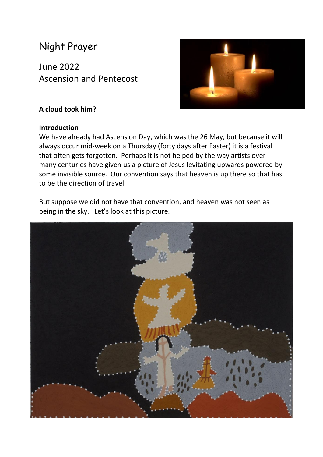# Night Prayer

June 2022 Ascension and Pentecost



# **A cloud took him?**

#### **Introduction**

We have already had Ascension Day, which was the 26 May, but because it will always occur mid-week on a Thursday (forty days after Easter) it is a festival that often gets forgotten. Perhaps it is not helped by the way artists over many centuries have given us a picture of Jesus levitating upwards powered by some invisible source. Our convention says that heaven is up there so that has to be the direction of travel.

But suppose we did not have that convention, and heaven was not seen as being in the sky. Let's look at this picture.

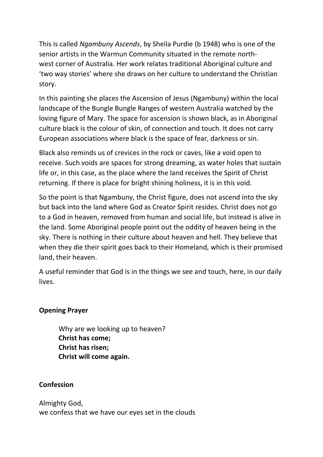This is called *Ngambuny Ascends*, by Sheila Purdie (b 1948) who is one of the senior artists in the Warmun Community situated in the remote northwest corner of Australia. Her work relates traditional Aboriginal culture and 'two way stories' where she draws on her culture to understand the Christian story.

In this painting she places the Ascension of Jesus (Ngambuny) within the local landscape of the Bungle Bungle Ranges of western Australia watched by the loving figure of Mary. The space for ascension is shown black, as in Aboriginal culture black is the colour of skin, of connection and touch. It does not carry European associations where black is the space of fear, darkness or sin.

Black also reminds us of crevices in the rock or caves, like a void open to receive. Such voids are spaces for strong dreaming, as water holes that sustain life or, in this case, as the place where the land receives the Spirit of Christ returning. If there is place for bright shining holiness, it is in this void.

So the point is that Ngambuny, the Christ figure, does not ascend into the sky but back into the land where God as Creator Spirit resides. Christ does not go to a God in heaven, removed from human and social life, but instead is alive in the land. Some Aboriginal people point out the oddity of heaven being in the sky. There is nothing in their culture about heaven and hell. They believe that when they die their spirit goes back to their Homeland, which is their promised land, their heaven.

A useful reminder that God is in the things we see and touch, here, in our daily lives.

# **Opening Prayer**

Why are we looking up to heaven? **Christ has come; Christ has risen; Christ will come again.**

# **Confession**

Almighty God, we confess that we have our eyes set in the clouds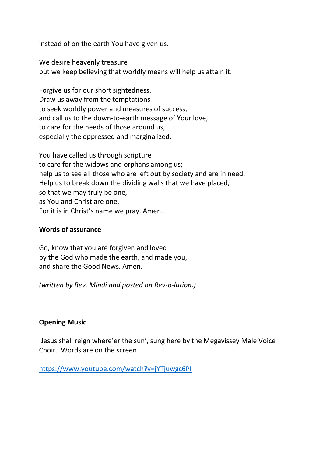instead of on the earth You have given us.

We desire heavenly treasure but we keep believing that worldly means will help us attain it.

Forgive us for our short sightedness. Draw us away from the temptations to seek worldly power and measures of success, and call us to the down-to-earth message of Your love, to care for the needs of those around us, especially the oppressed and marginalized.

You have called us through scripture to care for the widows and orphans among us; help us to see all those who are left out by society and are in need. Help us to break down the dividing walls that we have placed, so that we may truly be one, as You and Christ are one. For it is in Christ's name we pray. Amen.

#### **Words of assurance**

Go, know that you are forgiven and loved by the God who made the earth, and made you, and share the Good News. Amen.

*(written by Rev. Mindi and posted on Rev-o-lution.)*

# **Opening Music**

'Jesus shall reign where'er the sun', sung here by the Megavissey Male Voice Choir. Words are on the screen.

<https://www.youtube.com/watch?v=jYTjuwgc6PI>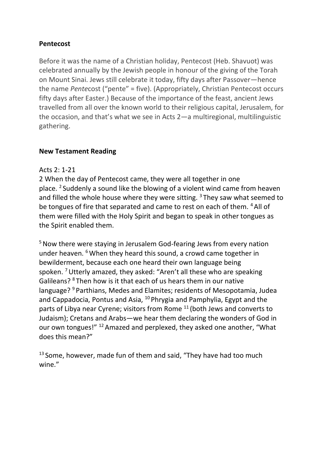# **Pentecost**

Before it was the name of a Christian holiday, Pentecost (Heb. Shavuot) was celebrated annually by the Jewish people in honour of the giving of the Torah on Mount Sinai. Jews still celebrate it today, fifty days after Passover—hence the name *Pente*cost ("pente" = five). (Appropriately, Christian Pentecost occurs fifty days after Easter.) Because of the importance of the feast, ancient Jews travelled from all over the known world to their religious capital, Jerusalem, for the occasion, and that's what we see in [Acts 2](https://www.biblegateway.com/passage/?search=Acts+2)—a multiregional, multilinguistic gathering.

# **New Testament Reading**

# Acts 2: 1-21

2 When the day of Pentecost came, they were all together in one place. <sup>2</sup> Suddenly a sound like the blowing of a violent wind came from heaven and filled the whole house where they were sitting.  $3$  They saw what seemed to be tongues of fire that separated and came to rest on each of them. <sup>4</sup> All of them were filled with the Holy Spirit and began to speak in other tongues as the Spirit enabled them.

<sup>5</sup> Now there were staying in Jerusalem God-fearing Jews from every nation under heaven. <sup>6</sup> When they heard this sound, a crowd came together in bewilderment, because each one heard their own language being spoken. <sup>7</sup>Utterly amazed, they asked: "Aren't all these who are speaking Galileans? <sup>8</sup> Then how is it that each of us hears them in our native language? <sup>9</sup> Parthians, Medes and Elamites; residents of Mesopotamia, Judea and Cappadocia, Pontus and Asia, <sup>10</sup> Phrygia and Pamphylia, Egypt and the parts of Libya near Cyrene; visitors from Rome  $11$  (both Jews and converts to Judaism); Cretans and Arabs—we hear them declaring the wonders of God in our own tongues!" <sup>12</sup> Amazed and perplexed, they asked one another, "What does this mean?"

<sup>13</sup> Some, however, made fun of them and said, "They have had too much wine."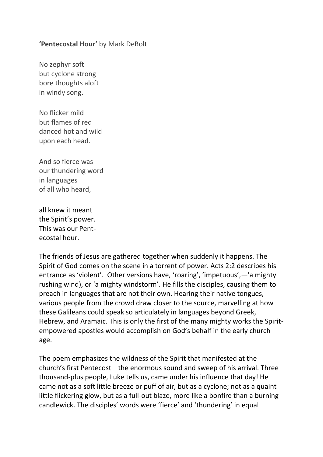## **'Pentecostal Hour'** by Mark DeBolt

No zephyr soft but cyclone strong bore thoughts aloft in windy song.

No flicker mild but flames of red danced hot and wild upon each head.

And so fierce was our thundering word in languages of all who heard,

all knew it meant the Spirit's power. This was our Pentecostal hour.

The friends of Jesus are gathered together when suddenly it happens. The Spirit of God comes on the scene in a torrent of power. Acts 2:2 describes his entrance as 'violent'. Other versions have, 'roaring', 'impetuous',—'a mighty rushing wind), or 'a mighty windstorm'. He fills the disciples, causing them to preach in languages that are not their own. Hearing their native tongues, various people from the crowd draw closer to the source, marvelling at how these Galileans could speak so articulately in languages beyond Greek, Hebrew, and Aramaic. This is only the first of the many mighty works the Spiritempowered apostles would accomplish on God's behalf in the early church age.

The poem emphasizes the wildness of the Spirit that manifested at the church's first Pentecost—the enormous sound and sweep of his arrival. Three thousand-plus people, Luke tells us, came under his influence that day! He came not as a soft little breeze or puff of air, but as a cyclone; not as a quaint little flickering glow, but as a full-out blaze, more like a bonfire than a burning candlewick. The disciples' words were 'fierce' and 'thundering' in equal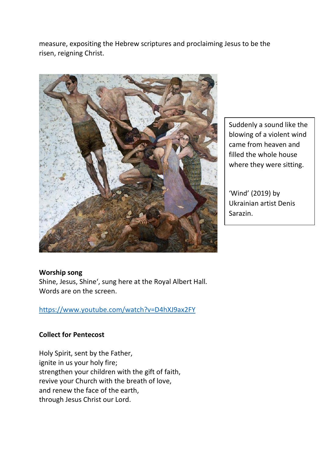measure, expositing the Hebrew scriptures and proclaiming Jesus to be the risen, reigning Christ.



Suddenly a sound like the blowing of a violent wind came from heaven and filled the whole house where they were sitting.

'Wind' (2019) by Ukrainian artist Denis Sarazin.

#### **Worship song**

Shine, Jesus, Shine', sung here at the Royal Albert Hall. Words are on the screen.

<https://www.youtube.com/watch?v=D4hXJ9ax2FY>

#### **Collect for Pentecost**

Holy Spirit, sent by the Father, ignite in us your holy fire; strengthen your children with the gift of faith, revive your Church with the breath of love, and renew the face of the earth, through Jesus Christ our Lord.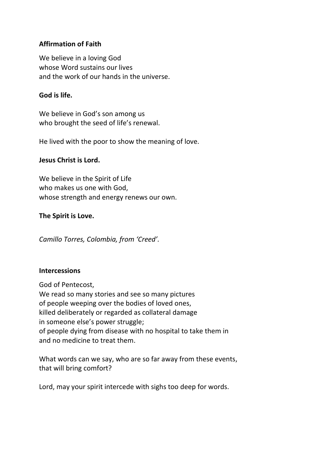# **Affirmation of Faith**

We believe in a loving God whose Word sustains our lives and the work of our hands in the universe.

# **God is life.**

We believe in God's son among us who brought the seed of life's renewal.

He lived with the poor to show the meaning of love.

## **Jesus Christ is Lord.**

We believe in the Spirit of Life who makes us one with God, whose strength and energy renews our own.

## **The Spirit is Love.**

*Camillo Torres, Colombia, from 'Creed'.*

#### **Intercessions**

God of Pentecost, We read so many stories and see so many pictures of people weeping over the bodies of loved ones, killed deliberately or regarded as collateral damage in someone else's power struggle; of people dying from disease with no hospital to take them in and no medicine to treat them.

What words can we say, who are so far away from these events, that will bring comfort?

Lord, may your spirit intercede with sighs too deep for words.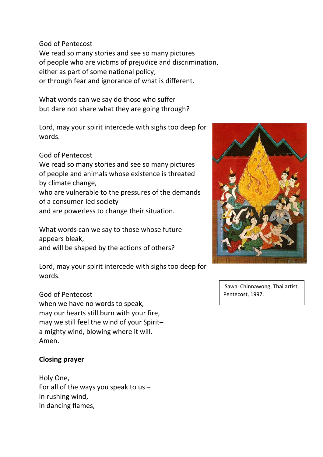God of Pentecost

We read so many stories and see so many pictures of people who are victims of prejudice and discrimination, either as part of some national policy, or through fear and ignorance of what is different.

What words can we say do those who suffer but dare not share what they are going through?

Lord, may your spirit intercede with sighs too deep for words.

God of Pentecost

We read so many stories and see so many pictures of people and animals whose existence is threated by climate change,

who are vulnerable to the pressures of the demands of a consumer-led society

and are powerless to change their situation.

What words can we say to those whose future appears bleak, and will be shaped by the actions of others?

Lord, may your spirit intercede with sighs too deep for words.

# God of Pentecost

when we have no words to speak, may our hearts still burn with your fire, may we still feel the wind of your Spirit– a mighty wind, blowing where it will. Amen.

# **Closing prayer**

Holy One, For all of the ways you speak to us  $$ in rushing wind, in dancing flames,



Sawai Chinnawong, Thai artist, Pentecost, 1997.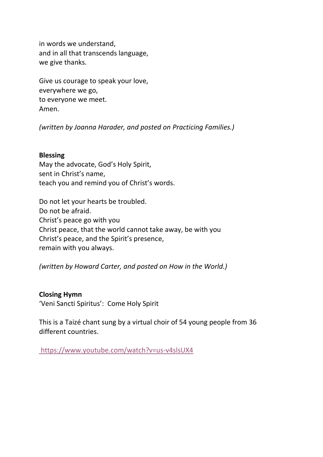in words we understand, and in all that transcends language, we give thanks.

Give us courage to speak your love, everywhere we go, to everyone we meet. Amen.

*(written by Joanna Harader, and posted on Practicing Families.)*

## **Blessing**

May the advocate, God's Holy Spirit, sent in Christ's name, teach you and remind you of Christ's words.

Do not let your hearts be troubled. Do not be afraid. Christ's peace go with you Christ peace, that the world cannot take away, be with you Christ's peace, and the Spirit's presence, remain with you always.

*(written by Howard Carter, and posted on How in the World.)* 

**Closing Hymn** 'Veni Sancti Spiritus': Come Holy Spirit

This is a Taizé chant sung by a virtual choir of 54 young people from 36 different countries.

<https://www.youtube.com/watch?v=us-v4slsUX4>